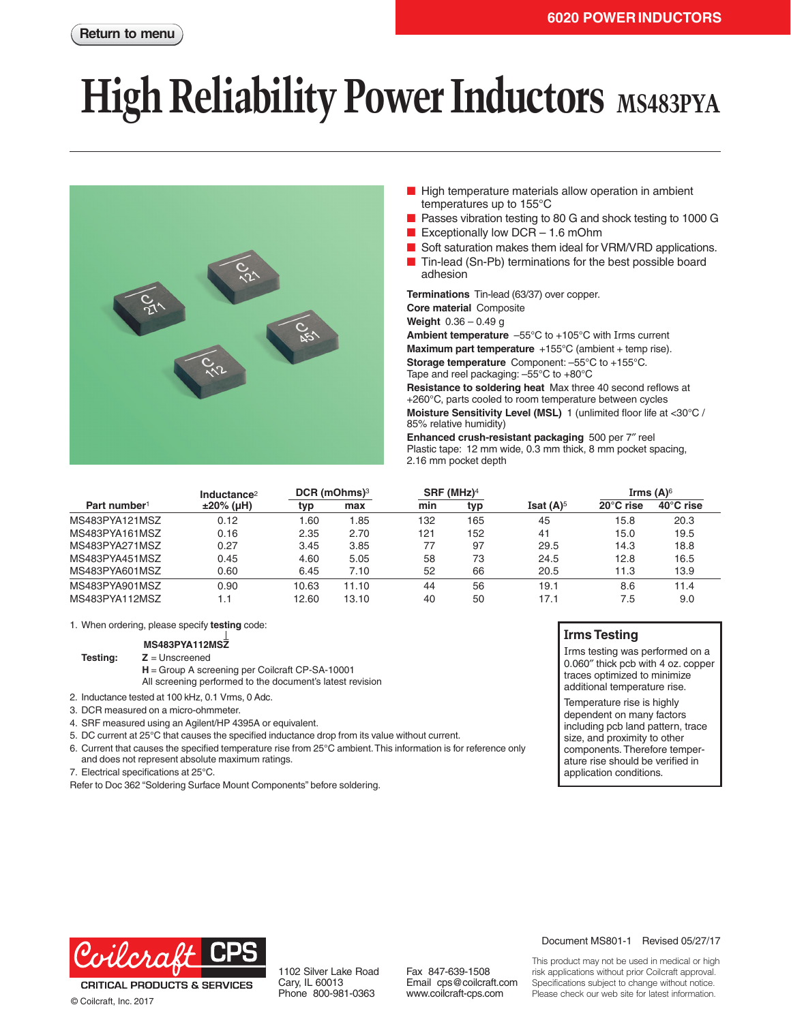# **High Reliability Power Inductors** MS483PYA



- High temperature materials allow operation in ambient temperatures up to 155°C
- Passes vibration testing to 80 G and shock testing to 1000 G
- Exceptionally low  $DCR 1.6$  mOhm
- Soft saturation makes them ideal for VRM/VRD applications.
- Tin-lead (Sn-Pb) terminations for the best possible board adhesion

**Terminations** Tin-lead (63/37) over copper. **Core material** Composite **Weight** 0.36 – 0.49 g **Ambient temperature** –55°C to +105°C with Irms current

**Maximum part temperature** +155°C (ambient + temp rise).

**Storage temperature** Component: –55°C to +155°C. Tape and reel packaging: –55°C to +80°C

**Resistance to soldering heat** Max three 40 second reflows at +260°C, parts cooled to room temperature between cycles **Moisture Sensitivity Level (MSL)** 1 (unlimited floor life at <30°C / 85% relative humidity)

**Enhanced crush-resistant packaging** 500 per 7″ reel Plastic tape: 12 mm wide, 0.3 mm thick, 8 mm pocket spacing, 2.16 mm pocket depth

|                          | Inductance <sup>2</sup> | $DCR$ (mOhms) <sup>3</sup> |       | $SRF$ (MHz) <sup>4</sup> |     |              | Irms $(A)^6$        |                     |
|--------------------------|-------------------------|----------------------------|-------|--------------------------|-----|--------------|---------------------|---------------------|
| Part number <sup>1</sup> | $±20\%$ (µH)            | typ                        | max   | min                      | typ | Isat $(A)^5$ | $20^{\circ}$ C rise | $40^{\circ}$ C rise |
| MS483PYA121MSZ           | 0.12                    | 1.60                       | .85   | 132                      | 165 | 45           | 15.8                | 20.3                |
| MS483PYA161MSZ           | 0.16                    | 2.35                       | 2.70  | 121                      | 152 | 41           | 15.0                | 19.5                |
| MS483PYA271MSZ           | 0.27                    | 3.45                       | 3.85  | 77                       | 97  | 29.5         | 14.3                | 18.8                |
| MS483PYA451MSZ           | 0.45                    | 4.60                       | 5.05  | 58                       | 73  | 24.5         | 12.8                | 16.5                |
| MS483PYA601MSZ           | 0.60                    | 6.45                       | 7.10  | 52                       | 66  | 20.5         | 11.3                | 13.9                |
| MS483PYA901MSZ           | 0.90                    | 10.63                      | 11.10 | 44                       | 56  | 19.1         | 8.6                 | 11.4                |
| MS483PYA112MSZ           | . . 1                   | 12.60                      | 13.10 | 40                       | 50  | 17.1         | 7.5                 | 9.0                 |

1. When ordering, please specify **testing** code:

**MS483PYA112MSZ**

**Testing: Z** = Unscreened

**H** = Group A screening per Coilcraft CP-SA-10001

All screening performed to the document's latest revision

- 2. Inductance tested at 100 kHz, 0.1 Vrms, 0 Adc.
- 3. DCR measured on a micro-ohmmeter.
- 4. SRF measured using an Agilent/HP 4395A or equivalent.
- 5. DC current at 25°C that causes the specified inductance drop from its value without current.
- 6. Current that causes the specified temperature rise from 25°C ambient. This information is for reference only and does not represent absolute maximum ratings.
- 7. Electrical specifications at 25°C.

Refer to Doc 362 "Soldering Surface Mount Components" before soldering.

#### **Irms Testing**

Irms testing was performed on a 0.060″ thick pcb with 4 oz. copper traces optimized to minimize additional temperature rise.

Temperature rise is highly dependent on many factors including pcb land pattern, trace size, and proximity to other components. Therefore temperature rise should be verified in application conditions.



**CRITICAL PRODUCTS & SERVICES** © Coilcraft, Inc. 2017

Fax 847-639-1508 Email cps@coilcraft.com www.coilcraft-cps.com

#### Document MS801-1 Revised 05/27/17

This product may not be used in medical or high risk applications without prior Coilcraft approval. Specifications subject to change without notice. Please check our web site for latest information.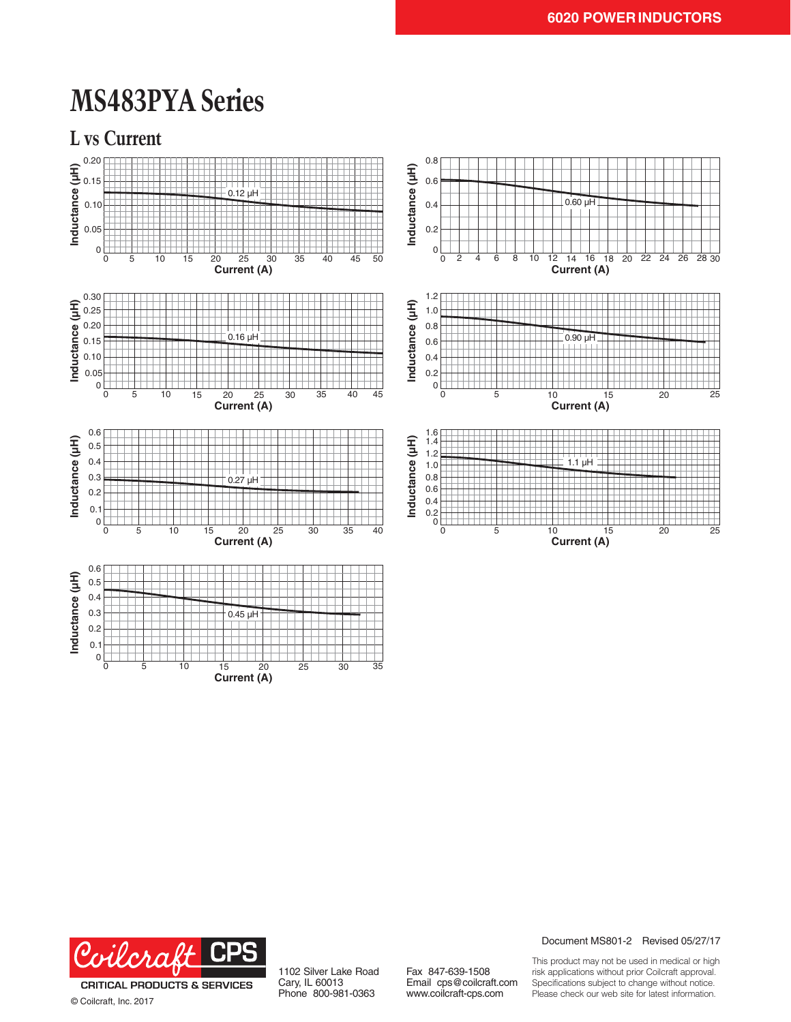## **MS483PYA Series**







**Current (A)**

© Coilcraft, Inc. 2017

1102 Silver Lake Road Cary, IL 60013 Phone 800-981-0363

Fax 847-639-1508 Email cps@coilcraft.com www.coilcraft-cps.com

Document MS801-2 Revised 05/27/17

This product may not be used in medical or high risk applications without prior Coilcraft approval. Specifications subject to change without notice. Please check our web site for latest information.